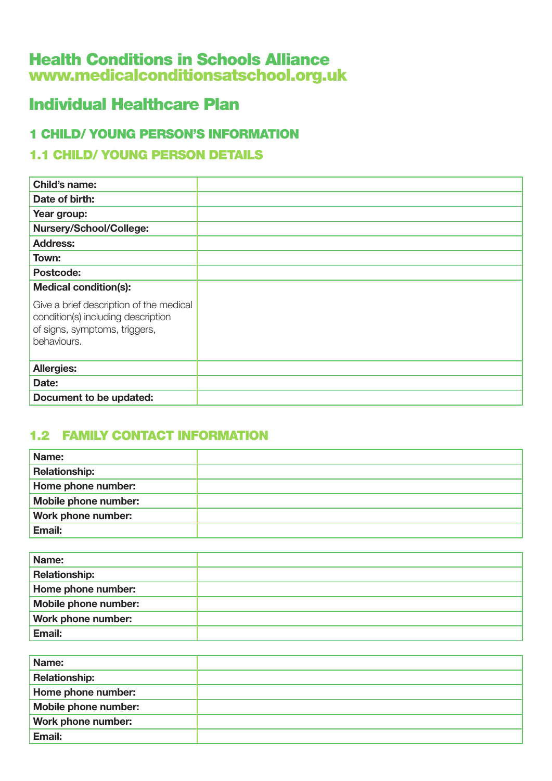# Health Conditions in Schools Alliance www.medicalconditionsatschool.org.uk

# Individual Healthcare Plan

## 1 CHILD/ YOUNG PERSON'S INFORMATION

## 1.1 CHILD/ YOUNG PERSON DETAILS

| Child's name:                                                                                                                 |  |
|-------------------------------------------------------------------------------------------------------------------------------|--|
| Date of birth:                                                                                                                |  |
| Year group:                                                                                                                   |  |
| Nursery/School/College:                                                                                                       |  |
| <b>Address:</b>                                                                                                               |  |
| Town:                                                                                                                         |  |
| Postcode:                                                                                                                     |  |
| <b>Medical condition(s):</b>                                                                                                  |  |
| Give a brief description of the medical<br>condition(s) including description<br>of signs, symptoms, triggers,<br>behaviours. |  |
| <b>Allergies:</b>                                                                                                             |  |
| Date:                                                                                                                         |  |
| Document to be updated:                                                                                                       |  |

# 1.2 FAMILY CONTACT INFORMATION

| Name:                |  |
|----------------------|--|
| <b>Relationship:</b> |  |
| Home phone number:   |  |
| Mobile phone number: |  |
| Work phone number:   |  |
| Email:               |  |

| Name:                |  |
|----------------------|--|
| <b>Relationship:</b> |  |
| Home phone number:   |  |
| Mobile phone number: |  |
| Work phone number:   |  |
| Email:               |  |

| Name:                     |  |
|---------------------------|--|
| <b>Relationship:</b>      |  |
| Home phone number:        |  |
| Mobile phone number:      |  |
| <b>Work phone number:</b> |  |
| Email:                    |  |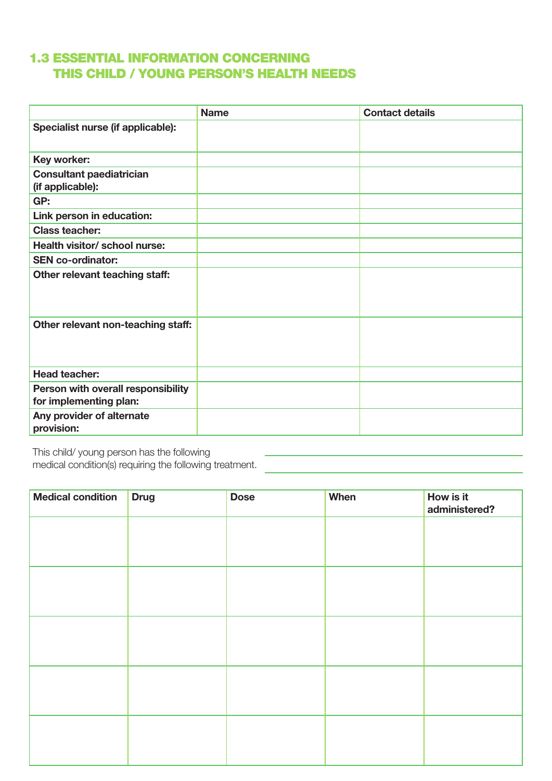#### 1.3 ESSENTIAL INFORMATION CONCERNING THIS CHILD / YOUNG PERSON'S HEALTH NEEDS

|                                                              | <b>Name</b> | <b>Contact details</b> |
|--------------------------------------------------------------|-------------|------------------------|
| Specialist nurse (if applicable):                            |             |                        |
| Key worker:                                                  |             |                        |
| <b>Consultant paediatrician</b><br>(if applicable):          |             |                        |
| GP:                                                          |             |                        |
| Link person in education:                                    |             |                        |
| <b>Class teacher:</b>                                        |             |                        |
| Health visitor/ school nurse:                                |             |                        |
| <b>SEN co-ordinator:</b>                                     |             |                        |
| Other relevant teaching staff:                               |             |                        |
| Other relevant non-teaching staff:                           |             |                        |
| <b>Head teacher:</b>                                         |             |                        |
| Person with overall responsibility<br>for implementing plan: |             |                        |
| Any provider of alternate<br>provision:                      |             |                        |

This child/ young person has the following

medical condition(s) requiring the following treatment.

| <b>Medical condition</b> | <b>Drug</b> | <b>Dose</b> | When | How is it<br>administered? |
|--------------------------|-------------|-------------|------|----------------------------|
|                          |             |             |      |                            |
|                          |             |             |      |                            |
|                          |             |             |      |                            |
|                          |             |             |      |                            |
|                          |             |             |      |                            |
|                          |             |             |      |                            |
|                          |             |             |      |                            |
|                          |             |             |      |                            |
|                          |             |             |      |                            |
|                          |             |             |      |                            |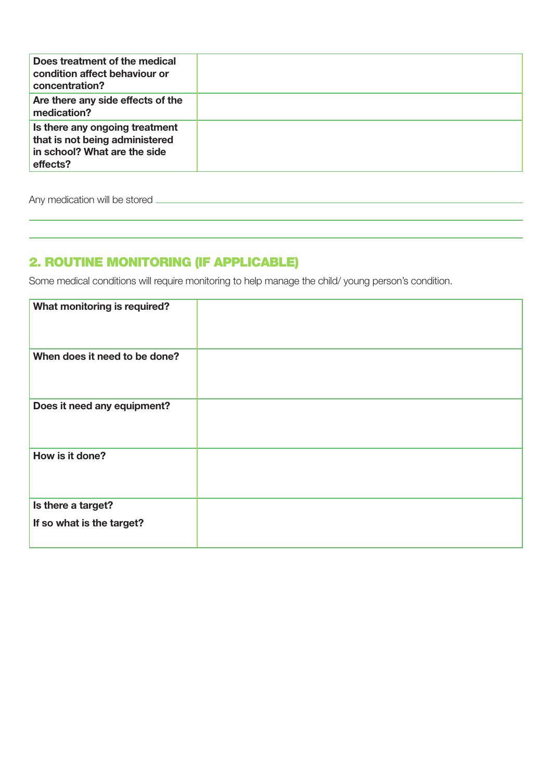| Does treatment of the medical<br>condition affect behaviour or<br>concentration?                             |  |
|--------------------------------------------------------------------------------------------------------------|--|
| Are there any side effects of the<br>medication?                                                             |  |
| Is there any ongoing treatment<br>that is not being administered<br>in school? What are the side<br>effects? |  |

Any medication will be stored

# 2. ROUTINE MONITORING (IF APPLICABLE)

Some medical conditions will require monitoring to help manage the child/ young person's condition.

| What monitoring is required?                    |  |
|-------------------------------------------------|--|
| When does it need to be done?                   |  |
| Does it need any equipment?                     |  |
| How is it done?                                 |  |
| Is there a target?<br>If so what is the target? |  |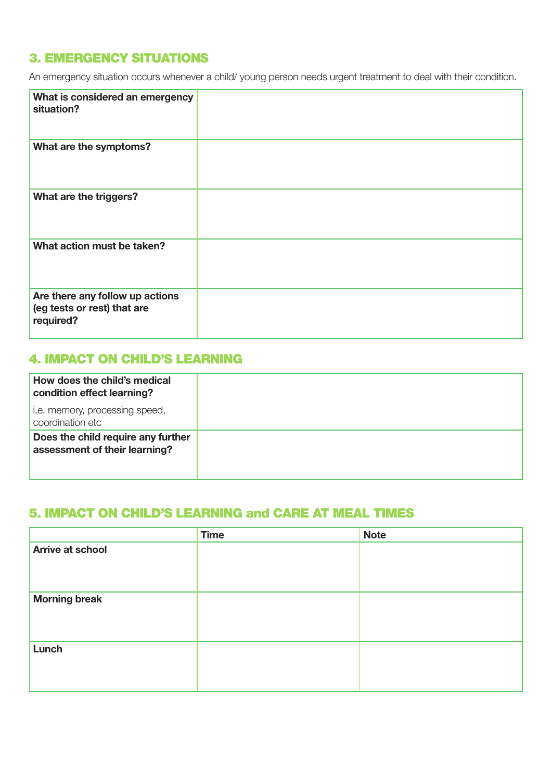#### 3. EMERGENCY SITUATIONS

An emergency situation occurs whenever a child/ young person needs urgent treatment to deal with their condition.

| What is considered an emergency<br>situation?                               |  |
|-----------------------------------------------------------------------------|--|
| What are the symptoms?                                                      |  |
| What are the triggers?                                                      |  |
| What action must be taken?                                                  |  |
| Are there any follow up actions<br>(eg tests or rest) that are<br>required? |  |

#### 4. IMPACT ON CHILD'S LEARNING

| How does the child's medical<br>condition effect learning?          |
|---------------------------------------------------------------------|
| i.e. memory, processing speed,<br>coordination etc                  |
| Does the child require any further<br>assessment of their learning? |

#### 5. IMPACT ON CHILD'S LEARNING and CARE AT MEAL TIMES

|                         | <b>Time</b> | <b>Note</b> |
|-------------------------|-------------|-------------|
| <b>Arrive at school</b> |             |             |
|                         |             |             |
|                         |             |             |
| <b>Morning break</b>    |             |             |
|                         |             |             |
|                         |             |             |
| Lunch                   |             |             |
|                         |             |             |
|                         |             |             |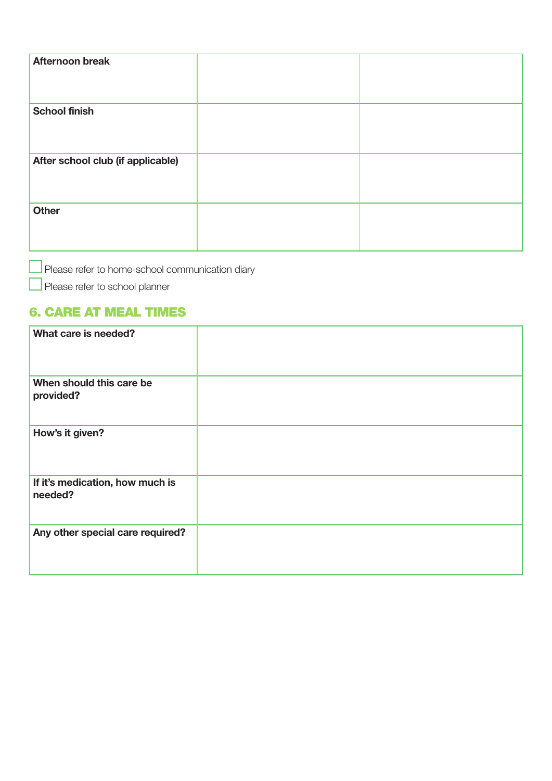| <b>Afternoon break</b>            |  |
|-----------------------------------|--|
| <b>School finish</b>              |  |
| After school club (if applicable) |  |
| Other                             |  |

 $\Box$  Please refer to home-school communication diary

Please refer to school planner

#### 6. CARE AT MEAL TIMES

| What care is needed?                       |  |
|--------------------------------------------|--|
| When should this care be<br>provided?      |  |
| How's it given?                            |  |
| If it's medication, how much is<br>needed? |  |
| Any other special care required?           |  |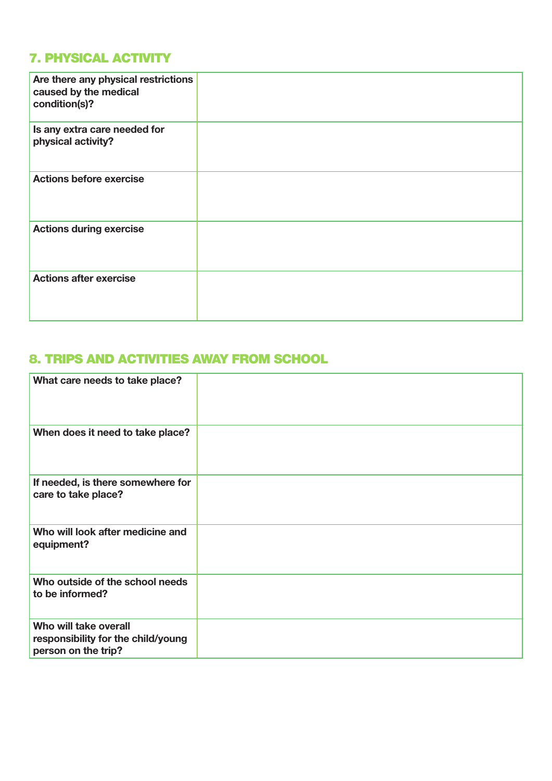# 7. PHYSICAL ACTIVITY

| Are there any physical restrictions<br>caused by the medical<br>condition(s)? |  |
|-------------------------------------------------------------------------------|--|
| Is any extra care needed for<br>physical activity?                            |  |
| <b>Actions before exercise</b>                                                |  |
| <b>Actions during exercise</b>                                                |  |
| <b>Actions after exercise</b>                                                 |  |

#### 8. TRIPS AND ACTIVITIES AWAY FROM SCHOOL

| What care needs to take place?                                                     |  |
|------------------------------------------------------------------------------------|--|
| When does it need to take place?                                                   |  |
| If needed, is there somewhere for<br>care to take place?                           |  |
| Who will look after medicine and<br>equipment?                                     |  |
| Who outside of the school needs<br>to be informed?                                 |  |
| Who will take overall<br>responsibility for the child/young<br>person on the trip? |  |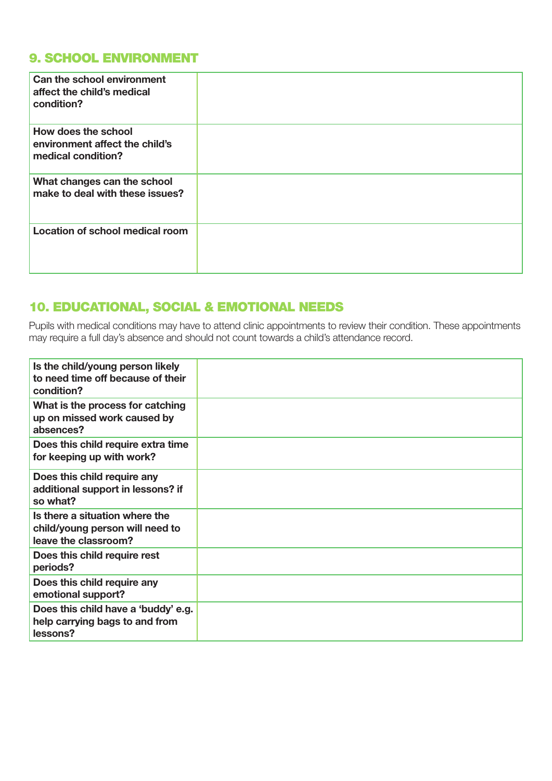### 9. SCHOOL ENVIRONMENT

| Can the school environment<br>affect the child's medical<br>condition?      |  |
|-----------------------------------------------------------------------------|--|
| How does the school<br>environment affect the child's<br>medical condition? |  |
| What changes can the school<br>make to deal with these issues?              |  |
| Location of school medical room                                             |  |

#### 10. EDUCATIONAL, SOCIAL & EMOTIONAL NEEDS

Pupils with medical conditions may have to attend clinic appointments to review their condition. These appointments may require a full day's absence and should not count towards a child's attendance record.

| Is the child/young person likely<br>to need time off because of their<br>condition?       |  |
|-------------------------------------------------------------------------------------------|--|
| What is the process for catching<br>up on missed work caused by<br>absences?              |  |
| Does this child require extra time<br>for keeping up with work?                           |  |
| Does this child require any<br>additional support in lessons? if<br>so what?              |  |
| Is there a situation where the<br>child/young person will need to<br>leave the classroom? |  |
| Does this child require rest<br>periods?                                                  |  |
| Does this child require any<br>emotional support?                                         |  |
| Does this child have a 'buddy' e.g.<br>help carrying bags to and from<br>lessons?         |  |